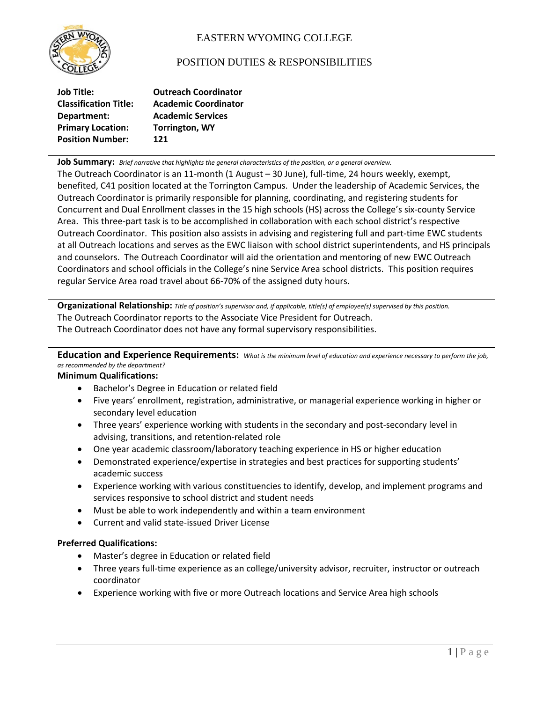

# EASTERN WYOMING COLLEGE

# POSITION DUTIES & RESPONSIBILITIES

| <b>Job Title:</b>            | <b>Outreach Coordinator</b> |
|------------------------------|-----------------------------|
| <b>Classification Title:</b> | <b>Academic Coordinator</b> |
| Department:                  | <b>Academic Services</b>    |
| <b>Primary Location:</b>     | <b>Torrington, WY</b>       |
| <b>Position Number:</b>      | 121                         |

**Job Summary:** *Brief narrative that highlights the general characteristics of the position, or a general overview.*

The Outreach Coordinator is an 11-month (1 August – 30 June), full-time, 24 hours weekly, exempt, benefited, C41 position located at the Torrington Campus. Under the leadership of Academic Services, the Outreach Coordinator is primarily responsible for planning, coordinating, and registering students for Concurrent and Dual Enrollment classes in the 15 high schools (HS) across the College's six-county Service Area. This three-part task is to be accomplished in collaboration with each school district's respective Outreach Coordinator. This position also assists in advising and registering full and part-time EWC students at all Outreach locations and serves as the EWC liaison with school district superintendents, and HS principals and counselors. The Outreach Coordinator will aid the orientation and mentoring of new EWC Outreach Coordinators and school officials in the College's nine Service Area school districts. This position requires regular Service Area road travel about 66-70% of the assigned duty hours.

**Organizational Relationship:** *Title of position's supervisor and, if applicable, title(s) of employee(s) supervised by this position.* The Outreach Coordinator reports to the Associate Vice President for Outreach. The Outreach Coordinator does not have any formal supervisory responsibilities.

## **Education and Experience Requirements:** *What is the minimum level of education and experience necessary to perform the job, as recommended by the department?*

## **Minimum Qualifications:**

- Bachelor's Degree in Education or related field
- Five years' enrollment, registration, administrative, or managerial experience working in higher or secondary level education
- Three years' experience working with students in the secondary and post-secondary level in advising, transitions, and retention-related role
- One year academic classroom/laboratory teaching experience in HS or higher education
- Demonstrated experience/expertise in strategies and best practices for supporting students' academic success
- Experience working with various constituencies to identify, develop, and implement programs and services responsive to school district and student needs
- Must be able to work independently and within a team environment
- Current and valid state-issued Driver License

#### **Preferred Qualifications:**

- Master's degree in Education or related field
- Three years full-time experience as an college/university advisor, recruiter, instructor or outreach coordinator
- Experience working with five or more Outreach locations and Service Area high schools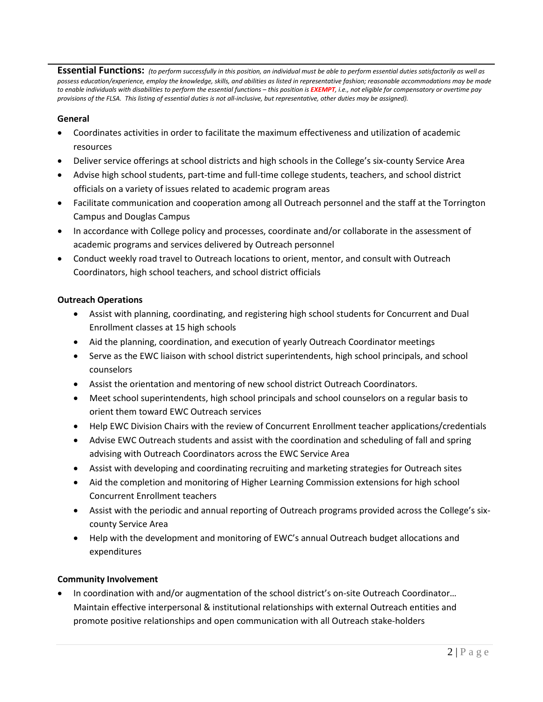**Essential Functions:** *(to perform successfully in this position, an individual must be able to perform essential duties satisfactorily as well as possess education/experience, employ the knowledge, skills, and abilities as listed in representative fashion; reasonable accommodations may be made to enable individuals with disabilities to perform the essential functions – this position is EXEMPT, i.e., not eligible for compensatory or overtime pay provisions of the FLSA. This listing of essential duties is not all-inclusive, but representative, other duties may be assigned).*

#### **General**

- Coordinates activities in order to facilitate the maximum effectiveness and utilization of academic resources
- Deliver service offerings at school districts and high schools in the College's six-county Service Area
- Advise high school students, part-time and full-time college students, teachers, and school district officials on a variety of issues related to academic program areas
- Facilitate communication and cooperation among all Outreach personnel and the staff at the Torrington Campus and Douglas Campus
- In accordance with College policy and processes, coordinate and/or collaborate in the assessment of academic programs and services delivered by Outreach personnel
- Conduct weekly road travel to Outreach locations to orient, mentor, and consult with Outreach Coordinators, high school teachers, and school district officials

#### **Outreach Operations**

- Assist with planning, coordinating, and registering high school students for Concurrent and Dual Enrollment classes at 15 high schools
- Aid the planning, coordination, and execution of yearly Outreach Coordinator meetings
- Serve as the EWC liaison with school district superintendents, high school principals, and school counselors
- Assist the orientation and mentoring of new school district Outreach Coordinators.
- Meet school superintendents, high school principals and school counselors on a regular basis to orient them toward EWC Outreach services
- Help EWC Division Chairs with the review of Concurrent Enrollment teacher applications/credentials
- Advise EWC Outreach students and assist with the coordination and scheduling of fall and spring advising with Outreach Coordinators across the EWC Service Area
- Assist with developing and coordinating recruiting and marketing strategies for Outreach sites
- Aid the completion and monitoring of Higher Learning Commission extensions for high school Concurrent Enrollment teachers
- Assist with the periodic and annual reporting of Outreach programs provided across the College's sixcounty Service Area
- Help with the development and monitoring of EWC's annual Outreach budget allocations and expenditures

#### **Community Involvement**

• In coordination with and/or augmentation of the school district's on-site Outreach Coordinator… Maintain effective interpersonal & institutional relationships with external Outreach entities and promote positive relationships and open communication with all Outreach stake-holders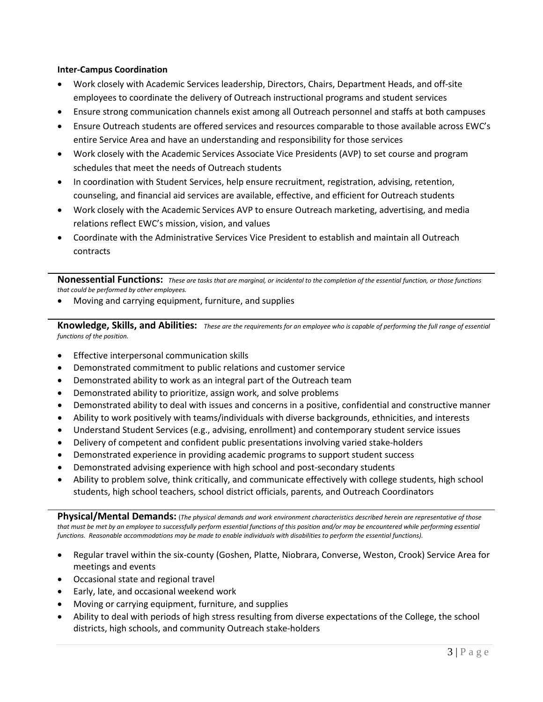#### **Inter-Campus Coordination**

- Work closely with Academic Services leadership, Directors, Chairs, Department Heads, and off-site employees to coordinate the delivery of Outreach instructional programs and student services
- Ensure strong communication channels exist among all Outreach personnel and staffs at both campuses
- Ensure Outreach students are offered services and resources comparable to those available across EWC's entire Service Area and have an understanding and responsibility for those services
- Work closely with the Academic Services Associate Vice Presidents (AVP) to set course and program schedules that meet the needs of Outreach students
- In coordination with Student Services, help ensure recruitment, registration, advising, retention, counseling, and financial aid services are available, effective, and efficient for Outreach students
- Work closely with the Academic Services AVP to ensure Outreach marketing, advertising, and media relations reflect EWC's mission, vision, and values
- Coordinate with the Administrative Services Vice President to establish and maintain all Outreach contracts

**Nonessential Functions:** *These are tasks that are marginal, or incidental to the completion of the essential function, or those functions that could be performed by other employees.*

• Moving and carrying equipment, furniture, and supplies

**Knowledge, Skills, and Abilities:** *These are the requirements for an employee who is capable of performing the full range of essential functions of the position.*

- Effective interpersonal communication skills
- Demonstrated commitment to public relations and customer service
- Demonstrated ability to work as an integral part of the Outreach team
- Demonstrated ability to prioritize, assign work, and solve problems
- Demonstrated ability to deal with issues and concerns in a positive, confidential and constructive manner
- Ability to work positively with teams/individuals with diverse backgrounds, ethnicities, and interests
- Understand Student Services (e.g., advising, enrollment) and contemporary student service issues
- Delivery of competent and confident public presentations involving varied stake-holders
- Demonstrated experience in providing academic programs to support student success
- Demonstrated advising experience with high school and post-secondary students
- Ability to problem solve, think critically, and communicate effectively with college students, high school students, high school teachers, school district officials, parents, and Outreach Coordinators

**Physical/Mental Demands:** (*The physical demands and work environment characteristics described herein are representative of those*  that must be met by an employee to successfully perform essential functions of this position and/or may be encountered while performing essential *functions. Reasonable accommodations may be made to enable individuals with disabilities to perform the essential functions).*

- Regular travel within the six-county (Goshen, Platte, Niobrara, Converse, Weston, Crook) Service Area for meetings and events
- Occasional state and regional travel
- Early, late, and occasional weekend work
- Moving or carrying equipment, furniture, and supplies
- Ability to deal with periods of high stress resulting from diverse expectations of the College, the school districts, high schools, and community Outreach stake-holders